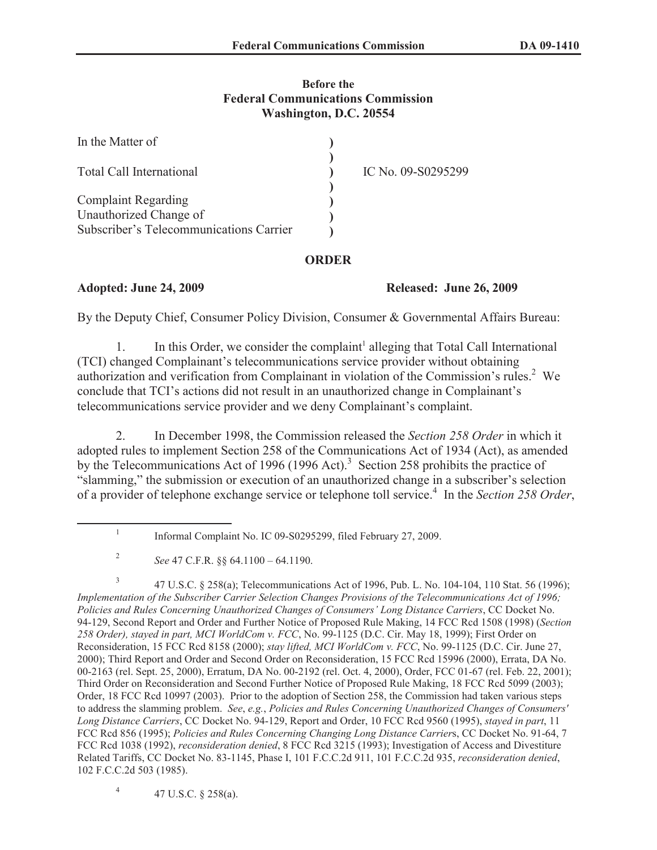## **Before the Federal Communications Commission Washington, D.C. 20554**

| In the Matter of                        |                    |
|-----------------------------------------|--------------------|
| <b>Total Call International</b>         | IC No. 09-S0295299 |
| <b>Complaint Regarding</b>              |                    |
| Unauthorized Change of                  |                    |
| Subscriber's Telecommunications Carrier |                    |

## **ORDER**

**Adopted: June 24, 2009 Released: June 26, 2009**

By the Deputy Chief, Consumer Policy Division, Consumer & Governmental Affairs Bureau:

1. In this Order, we consider the complaint<sup>1</sup> alleging that Total Call International (TCI) changed Complainant's telecommunications service provider without obtaining authorization and verification from Complainant in violation of the Commission's rules.<sup>2</sup> We conclude that TCI's actions did not result in an unauthorized change in Complainant's telecommunications service provider and we deny Complainant's complaint.

2. In December 1998, the Commission released the *Section 258 Order* in which it adopted rules to implement Section 258 of the Communications Act of 1934 (Act), as amended by the Telecommunications Act of 1996 (1996 Act).<sup>3</sup> Section 258 prohibits the practice of "slamming," the submission or execution of an unauthorized change in a subscriber's selection of a provider of telephone exchange service or telephone toll service.<sup>4</sup> In the *Section 258 Order*,

4 47 U.S.C. § 258(a).

<sup>1</sup> Informal Complaint No. IC 09-S0295299, filed February 27, 2009.

<sup>2</sup> *See* 47 C.F.R. §§ 64.1100 – 64.1190.

<sup>3</sup> 47 U.S.C. § 258(a); Telecommunications Act of 1996, Pub. L. No. 104-104, 110 Stat. 56 (1996); *Implementation of the Subscriber Carrier Selection Changes Provisions of the Telecommunications Act of 1996; Policies and Rules Concerning Unauthorized Changes of Consumers' Long Distance Carriers*, CC Docket No. 94-129, Second Report and Order and Further Notice of Proposed Rule Making, 14 FCC Rcd 1508 (1998) (*Section 258 Order), stayed in part, MCI WorldCom v. FCC*, No. 99-1125 (D.C. Cir. May 18, 1999); First Order on Reconsideration, 15 FCC Rcd 8158 (2000); *stay lifted, MCI WorldCom v. FCC*, No. 99-1125 (D.C. Cir. June 27, 2000); Third Report and Order and Second Order on Reconsideration, 15 FCC Rcd 15996 (2000), Errata, DA No. 00-2163 (rel. Sept. 25, 2000), Erratum, DA No. 00-2192 (rel. Oct. 4, 2000), Order, FCC 01-67 (rel. Feb. 22, 2001); Third Order on Reconsideration and Second Further Notice of Proposed Rule Making, 18 FCC Rcd 5099 (2003); Order, 18 FCC Rcd 10997 (2003). Prior to the adoption of Section 258, the Commission had taken various steps to address the slamming problem. *See*, *e.g.*, *Policies and Rules Concerning Unauthorized Changes of Consumers' Long Distance Carriers*, CC Docket No. 94-129, Report and Order, 10 FCC Rcd 9560 (1995), *stayed in part*, 11 FCC Rcd 856 (1995); *Policies and Rules Concerning Changing Long Distance Carrier*s, CC Docket No. 91-64, 7 FCC Rcd 1038 (1992), *reconsideration denied*, 8 FCC Rcd 3215 (1993); Investigation of Access and Divestiture Related Tariffs, CC Docket No. 83-1145, Phase I, 101 F.C.C.2d 911, 101 F.C.C.2d 935, *reconsideration denied*, 102 F.C.C.2d 503 (1985).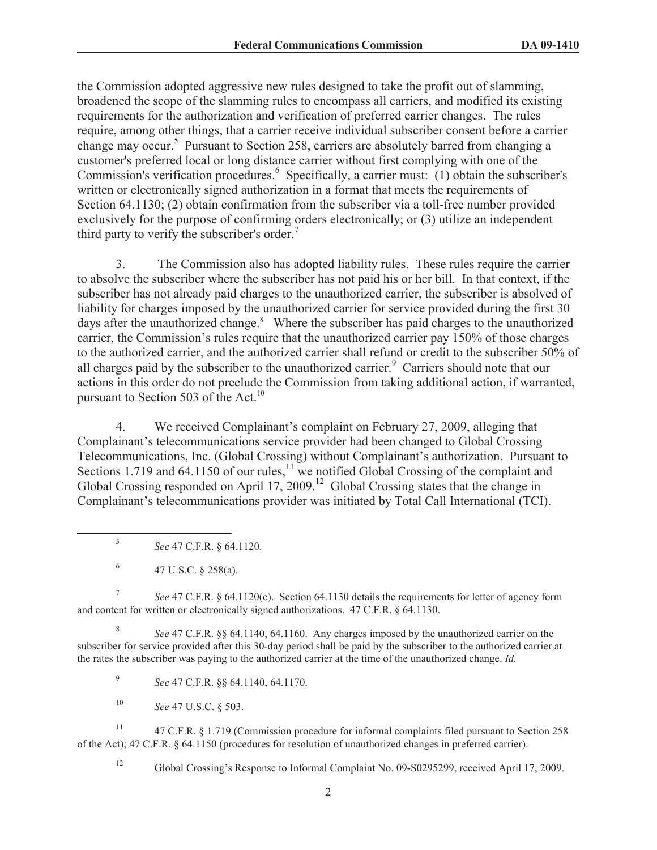the Commission adopted aggressive new rules designed to take the profit out of slamming, broadened the scope of the slamming rules to encompass all carriers, and modified its existing requirements for the authorization and verification of preferred carrier changes. The rules require, among other things, that a carrier receive individual subscriber consent before a carrier change may occur.<sup>5</sup> Pursuant to Section 258, carriers are absolutely barred from changing a customer's preferred local or long distance carrier without first complying with one of the Commission's verification procedures.<sup>6</sup> Specifically, a carrier must: (1) obtain the subscriber's written or electronically signed authorization in a format that meets the requirements of Section 64.1130; (2) obtain confirmation from the subscriber via a toll-free number provided exclusively for the purpose of confirming orders electronically; or (3) utilize an independent third party to verify the subscriber's order.<sup>7</sup>

3. The Commission also has adopted liability rules. These rules require the carrier to absolve the subscriber where the subscriber has not paid his or her bill. In that context, if the subscriber has not already paid charges to the unauthorized carrier, the subscriber is absolved of liability for charges imposed by the unauthorized carrier for service provided during the first 30 days after the unauthorized change.<sup>8</sup> Where the subscriber has paid charges to the unauthorized carrier, the Commission's rules require that the unauthorized carrier pay 150% of those charges to the authorized carrier, and the authorized carrier shall refund or credit to the subscriber 50% of all charges paid by the subscriber to the unauthorized carrier.<sup>9</sup> Carriers should note that our actions in this order do not preclude the Commission from taking additional action, if warranted, pursuant to Section 503 of the Act.<sup>10</sup>

4. We received Complainant's complaint on February 27, 2009, alleging that Complainant's telecommunications service provider had been changed to Global Crossing Telecommunications, Inc. (Global Crossing) without Complainant's authorization. Pursuant to Sections 1.719 and  $64.1150$  of our rules,  $11$  we notified Global Crossing of the complaint and Global Crossing responded on April  $17, 2009$ .<sup>12</sup> Global Crossing states that the change in Complainant's telecommunications provider was initiated by Total Call International (TCI).

5 *See* 47 C.F.R. § 64.1120.

6 47 U.S.C. § 258(a).

7 *See* 47 C.F.R. § 64.1120(c). Section 64.1130 details the requirements for letter of agency form and content for written or electronically signed authorizations. 47 C.F.R. § 64.1130.

8 *See* 47 C.F.R. §§ 64.1140, 64.1160. Any charges imposed by the unauthorized carrier on the subscriber for service provided after this 30-day period shall be paid by the subscriber to the authorized carrier at the rates the subscriber was paying to the authorized carrier at the time of the unauthorized change. *Id.*

9 *See* 47 C.F.R. §§ 64.1140, 64.1170.

<sup>10</sup> *See* 47 U.S.C. § 503.

<sup>11</sup> 47 C.F.R. § 1.719 (Commission procedure for informal complaints filed pursuant to Section 258 of the Act); 47 C.F.R. § 64.1150 (procedures for resolution of unauthorized changes in preferred carrier).

<sup>12</sup> Global Crossing's Response to Informal Complaint No. 09-S0295299, received April 17, 2009.